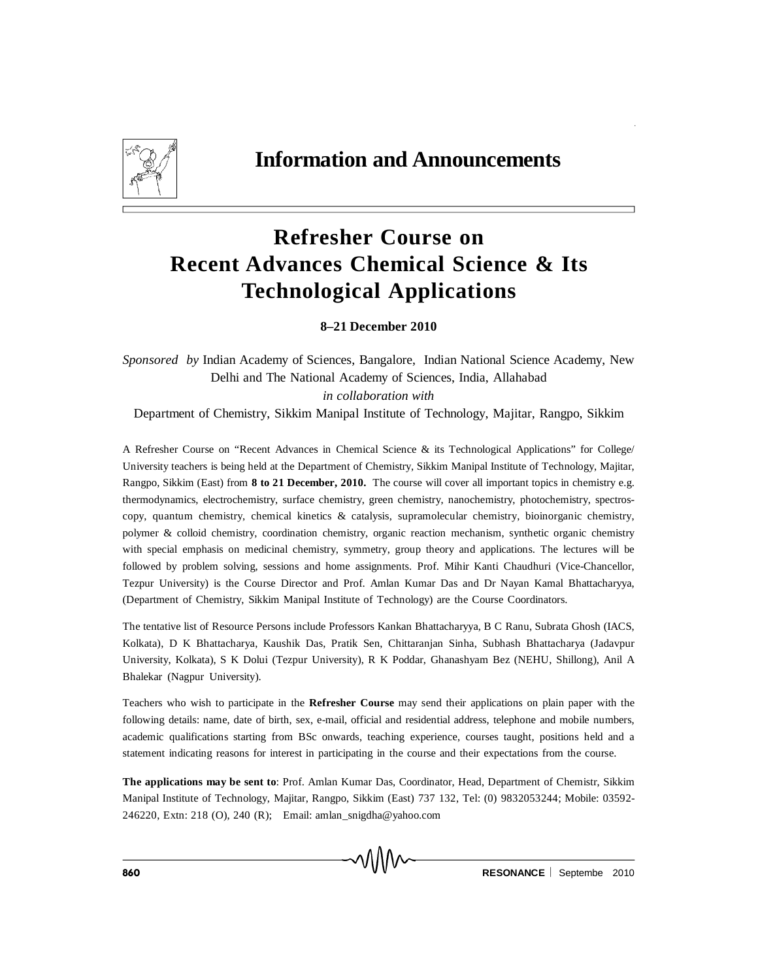

## **Refresher Course on Recent Advances Chemical Science & Its Technological Applications**

**8–21 December 2010**

*Sponsored by* Indian Academy of Sciences, Bangalore, Indian National Science Academy, New Delhi and The National Academy of Sciences, India, Allahabad *in collaboration with*

Department of Chemistry, Sikkim Manipal Institute of Technology, Majitar, Rangpo, Sikkim

A Refresher Course on "Recent Advances in Chemical Science & its Technological Applications" for College/ University teachers is being held at the Department of Chemistry, Sikkim Manipal Institute of Technology, Majitar, Rangpo, Sikkim (East) from **8 to 21 December, 2010.** The course will cover all important topics in chemistry e.g. thermodynamics, electrochemistry, surface chemistry, green chemistry, nanochemistry, photochemistry, spectroscopy, quantum chemistry, chemical kinetics & catalysis, supramolecular chemistry, bioinorganic chemistry, polymer & colloid chemistry, coordination chemistry, organic reaction mechanism, synthetic organic chemistry with special emphasis on medicinal chemistry, symmetry, group theory and applications. The lectures will be followed by problem solving, sessions and home assignments. Prof. Mihir Kanti Chaudhuri (Vice-Chancellor, Tezpur University) is the Course Director and Prof. Amlan Kumar Das and Dr Nayan Kamal Bhattacharyya, (Department of Chemistry, Sikkim Manipal Institute of Technology) are the Course Coordinators.

The tentative list of Resource Persons include Professors Kankan Bhattacharyya, B C Ranu, Subrata Ghosh (IACS, Kolkata), D K Bhattacharya, Kaushik Das, Pratik Sen, Chittaranjan Sinha, Subhash Bhattacharya (Jadavpur University, Kolkata), S K Dolui (Tezpur University), R K Poddar, Ghanashyam Bez (NEHU, Shillong), Anil A Bhalekar (Nagpur University).

Teachers who wish to participate in the **Refresher Course** may send their applications on plain paper with the following details: name, date of birth, sex, e-mail, official and residential address, telephone and mobile numbers, academic qualifications starting from BSc onwards, teaching experience, courses taught, positions held and a statement indicating reasons for interest in participating in the course and their expectations from the course.

**The applications may be sent to**: Prof. Amlan Kumar Das, Coordinator, Head, Department of Chemistr, Sikkim Manipal Institute of Technology, Majitar, Rangpo, Sikkim (East) 737 132, Tel: (0) 9832053244; Mobile: 03592- 246220, Extn: 218 (O), 240 (R); Email: amlan\_snigdha@yahoo.com